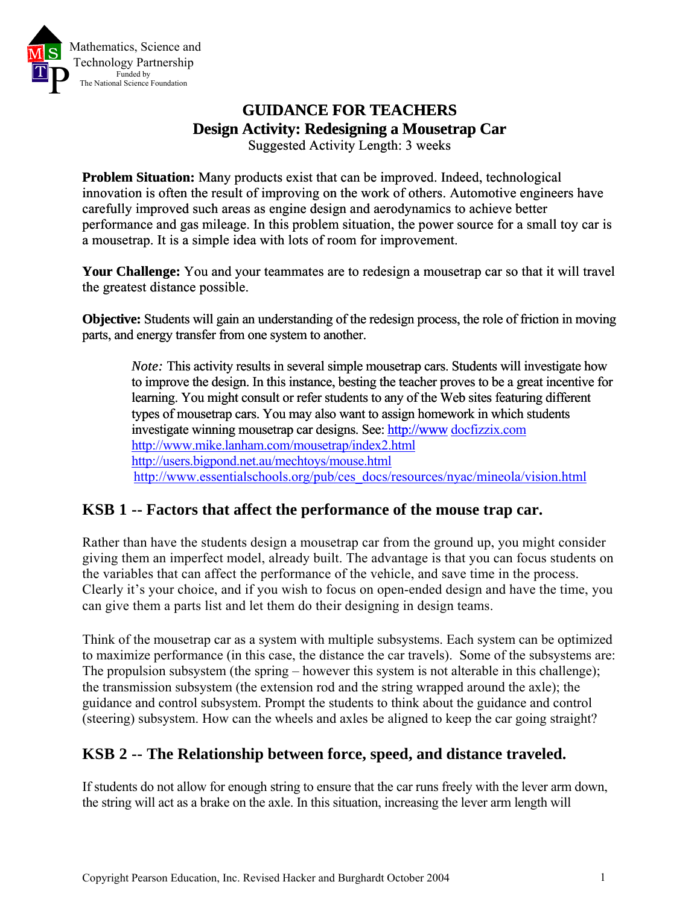

# **GUIDANCE FOR TEACHERS Design Activity: Redesigning a Mousetrap Car**

Suggested Activity Length: 3 weeks

**Problem Situation:** Many products exist that can be improved. Indeed, technological innovation is often the result of improving on the work of others. Automotive engineers have carefully improved such areas as engine design and aerodynamics to achieve better performance and gas mileage. In this problem situation, the power source for a small toy car is a mousetrap. It is a simple idea with lots of room for improvement.

**Your Challenge:** You and your teammates are to redesign a mousetrap car so that it will travel the greatest distance possible.

**Objective:** Students will gain an understanding of the redesign process, the role of friction in moving parts, and energy transfer from one system to another.

*Note:* This activity results in several simple mousetrap cars. Students will investigate how [to improve the design. In this instance, besting the teacher proves to be a great incentive for](http://www/)  [learning. You might consult or refer students to any of the Web sites featuring different](http://www/)  [types of mousetrap cars. You may also want to assign homework in which students](http://www/)  [investigate winning mousetrap car designs. See: http://www](http://www/).[d](http://docfizzix.com/)ocfizzix.co[m](http://www.mike.lanham.com/mousetrap/index2.html) http://www.mike.lanham.com/mousetrap/index2.htm[l](http://users.bigpond.net.au/mechtoys/mouse.html) http://users.bigpond.net.au/mechtoys/mouse.html [http://www.essentialschools.org/pub/ces\\_docs/resources/nyac/mineola/vision.html](http://www.essentialschools.org/pub/ces_docs/resources/nyac/mineola/vision.html)

## **KSB 1 -- Factors that affect the performance of the mouse trap car.**

Rather than have the students design a mousetrap car from the ground up, you might consider giving them an imperfect model, already built. The advantage is that you can focus students on the variables that can affect the performance of the vehicle, and save time in the process. Clearly it's your choice, and if you wish to focus on open-ended design and have the time, you can give them a parts list and let them do their designing in design teams.

Think of the mousetrap car as a system with multiple subsystems. Each system can be optimized to maximize performance (in this case, the distance the car travels). Some of the subsystems are: The propulsion subsystem (the spring – however this system is not alterable in this challenge); the transmission subsystem (the extension rod and the string wrapped around the axle); the guidance and control subsystem. Prompt the students to think about the guidance and control (steering) subsystem. How can the wheels and axles be aligned to keep the car going straight?

## **KSB 2 -- The Relationship between force, speed, and distance traveled.**

If students do not allow for enough string to ensure that the car runs freely with the lever arm down, the string will act as a brake on the axle. In this situation, increasing the lever arm length will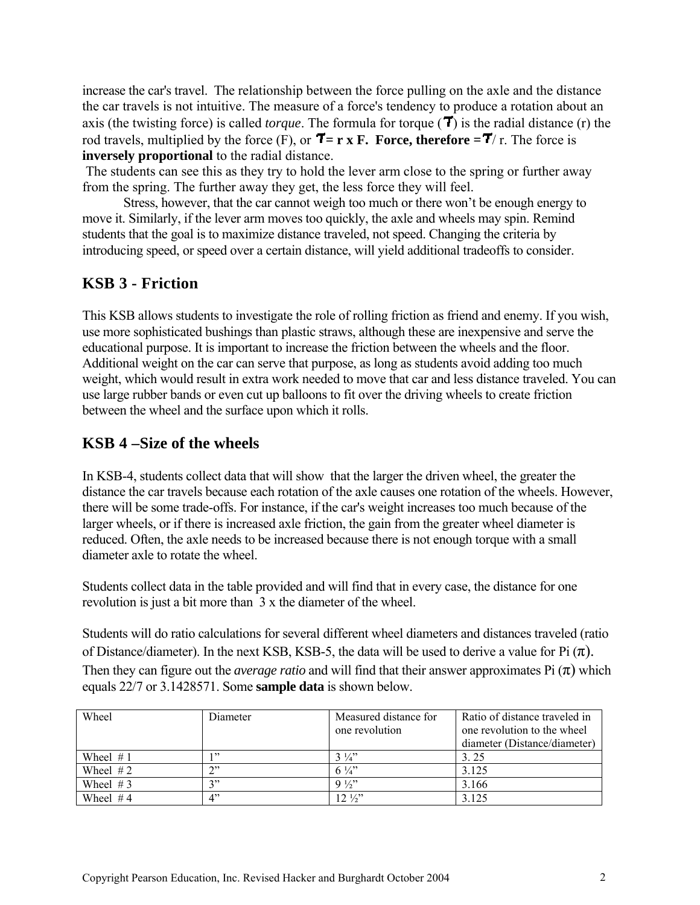increase the car's travel. The relationship between the force pulling on the axle and the distance the car travels is not intuitive. The measure of a force's tendency to produce a rotation about an axis (the twisting force) is called *torque*. The formula for torque  $(T)$  is the radial distance (r) the rod travels, multiplied by the force  $(F)$ , or  $\overline{T} = r \times F$ . Force, therefore  $=\overline{T}/r$ . The force is **inversely proportional** to the radial distance.

 The students can see this as they try to hold the lever arm close to the spring or further away from the spring. The further away they get, the less force they will feel.

Stress, however, that the car cannot weigh too much or there won't be enough energy to move it. Similarly, if the lever arm moves too quickly, the axle and wheels may spin. Remind students that the goal is to maximize distance traveled, not speed. Changing the criteria by introducing speed, or speed over a certain distance, will yield additional tradeoffs to consider.

## **KSB 3 - Friction**

This KSB allows students to investigate the role of rolling friction as friend and enemy. If you wish, use more sophisticated bushings than plastic straws, although these are inexpensive and serve the educational purpose. It is important to increase the friction between the wheels and the floor. Additional weight on the car can serve that purpose, as long as students avoid adding too much weight, which would result in extra work needed to move that car and less distance traveled. You can use large rubber bands or even cut up balloons to fit over the driving wheels to create friction between the wheel and the surface upon which it rolls.

### **KSB 4 –Size of the wheels**

In KSB-4, students collect data that will show that the larger the driven wheel, the greater the distance the car travels because each rotation of the axle causes one rotation of the wheels. However, there will be some trade-offs. For instance, if the car's weight increases too much because of the larger wheels, or if there is increased axle friction, the gain from the greater wheel diameter is reduced. Often, the axle needs to be increased because there is not enough torque with a small diameter axle to rotate the wheel.

Students collect data in the table provided and will find that in every case, the distance for one revolution is just a bit more than 3 x the diameter of the wheel.

Students will do ratio calculations for several different wheel diameters and distances traveled (ratio of Distance/diameter). In the next KSB, KSB-5, the data will be used to derive a value for Pi  $(\pi)$ . Then they can figure out the *average ratio* and will find that their answer approximates Pi  $(\pi)$  which equals 22/7 or 3.1428571. Some **sample data** is shown below.

| Wheel       | Diameter | Measured distance for<br>one revolution | Ratio of distance traveled in<br>one revolution to the wheel<br>diameter (Distance/diameter) |
|-------------|----------|-----------------------------------------|----------------------------------------------------------------------------------------------|
| Wheel $# 1$ | 199      | $3\frac{1}{4}$                          | 3.25                                                                                         |
| Wheel $#2$  | ጎን       | $6\frac{1}{4}$                          | 3.125                                                                                        |
| Wheel $#3$  | ານ       | $9\frac{1}{2}$                          | 3.166                                                                                        |
| Wheel $#4$  | יי 1     | $12\frac{1}{2}$                         | 3.125                                                                                        |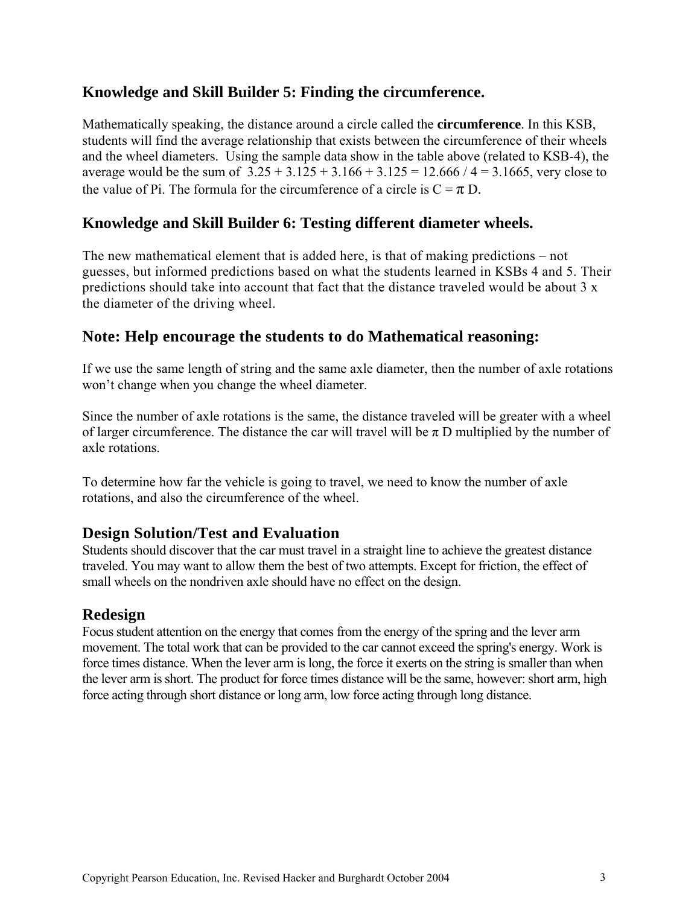## **Knowledge and Skill Builder 5: Finding the circumference.**

Mathematically speaking, the distance around a circle called the **circumference**. In this KSB, students will find the average relationship that exists between the circumference of their wheels and the wheel diameters. Using the sample data show in the table above (related to KSB-4), the average would be the sum of  $3.25 + 3.125 + 3.166 + 3.125 = 12.666 / 4 = 3.1665$ , very close to the value of Pi. The formula for the circumference of a circle is  $C = \pi D$ .

#### **Knowledge and Skill Builder 6: Testing different diameter wheels.**

The new mathematical element that is added here, is that of making predictions – not guesses, but informed predictions based on what the students learned in KSBs 4 and 5. Their predictions should take into account that fact that the distance traveled would be about 3 x the diameter of the driving wheel.

#### **Note: Help encourage the students to do Mathematical reasoning:**

If we use the same length of string and the same axle diameter, then the number of axle rotations won't change when you change the wheel diameter.

Since the number of axle rotations is the same, the distance traveled will be greater with a wheel of larger circumference. The distance the car will travel will be  $\pi$  D multiplied by the number of axle rotations.

To determine how far the vehicle is going to travel, we need to know the number of axle rotations, and also the circumference of the wheel.

#### **Design Solution/Test and Evaluation**

Students should discover that the car must travel in a straight line to achieve the greatest distance traveled. You may want to allow them the best of two attempts. Except for friction, the effect of small wheels on the nondriven axle should have no effect on the design.

#### **Redesign**

Focus student attention on the energy that comes from the energy of the spring and the lever arm movement. The total work that can be provided to the car cannot exceed the spring's energy. Work is force times distance. When the lever arm is long, the force it exerts on the string is smaller than when the lever arm is short. The product for force times distance will be the same, however: short arm, high force acting through short distance or long arm, low force acting through long distance.